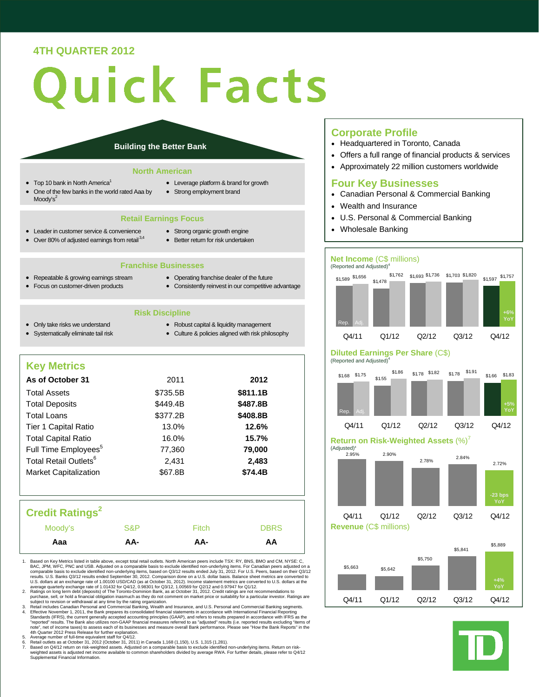# **4TH QUARTER 2012**

# uick Facts

#### **Building the Better Bank**

#### **North American**

- Top 10 bank in North America<sup>1</sup>
- One of the few banks in the world rated Aaa by Moody's $2$
- Leverage platform & brand for growth
- Strong employment brand

#### **Retail Earnings Focus**

- Leader in customer service & convenience
- Strong organic growth engine
- $\bullet$  Over 80% of adjusted earnings from retail  $3,4$
- Better return for risk undertaken
- **Franchise Businesses**
- Repeatable & growing earnings stream
- Operating franchise dealer of the future
- Focus on customer-driven products
- Consistently reinvest in our competitive advantage
	- **Risk Discipline**
- Only take risks we understand • Systematically eliminate tail risk
- Robust capital & liquidity management
- Culture & policies aligned with risk philosophy

# **Key Metrics**

| As of October 31                  | 2011     | 2012     |
|-----------------------------------|----------|----------|
| <b>Total Assets</b>               | \$735.5B | \$811.1B |
| <b>Total Deposits</b>             | \$449.4B | \$487.8B |
| <b>Total Loans</b>                | \$377.2B | \$408.8B |
| Tier 1 Capital Ratio              | 13.0%    | 12.6%    |
| <b>Total Capital Ratio</b>        | 16.0%    | 15.7%    |
| Full Time Employees <sup>5</sup>  | 77.360   | 79,000   |
| Total Retail Outlets <sup>6</sup> | 2,431    | 2,483    |
| <b>Market Capitalization</b>      | \$67.8B  | \$74.4B  |
|                                   |          |          |

# **Credit Ratings2**

- 1. Based on Key Metrics listed in table above, except total retail outlets. North American peers include TSX: RY, BNS, BMO and CM, NYSE: C, BAC, JPM, WFC, PNC and CM, and CM, Data CM, Data CM, Data CM, Data Comparable basi
- 
- 2. Ratings on long term debt (deposits) of The Toronto-Dominion Bank, as at October 31, 2012. Credit ratings are not recommentodinos to expect the financial obligation inasmuch as they do not comment on market price or sui
- 5. Average number of full-time equivalent staff for Q4/12.<br>6. Retail outlets as at October 31, 2012 (October 31, 2012)<br>7. Based on  $O4/12$  return on risk-weighted assets. Adjust
- 6. Retail outlets as at October 31, 2012 (October 31, 2011) in Canada 1,168 (1,150), U.S. 1,315 (1,281).<br>Weighted assets in the set of the set of the set of the set of the set of the set of the set of the set of the<br>Weight

#### **Corporate Profile**

- Headquartered in Toronto, Canada
- Offers a full range of financial products & services
- Approximately 22 million customers worldwide

# **Four Key Businesses**

- Canadian Personal & Commercial Banking
- Wealth and Insurance
- U.S. Personal & Commercial Banking
- Wholesale Banking

# **Net Income** (C\$ millions)



#### **Diluted Earnings Per Share** (C\$) (Reported and Adjusted)<sup>4</sup>